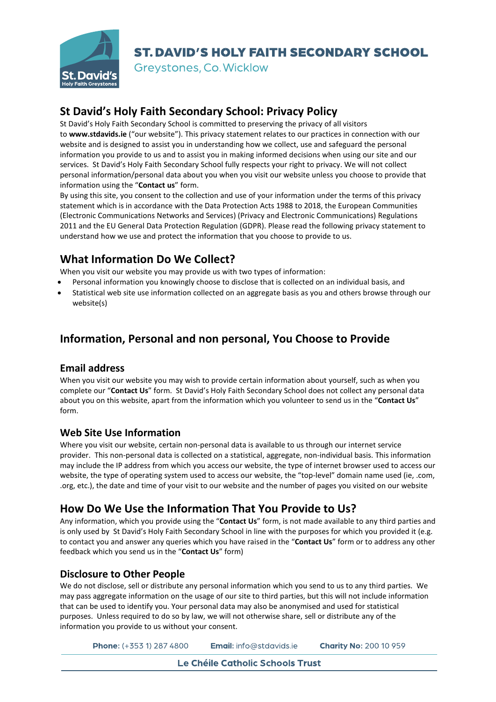

Greystones, Co. Wicklow

## **St David's Holy Faith Secondary School: Privacy Policy**

St David's Holy Faith Secondary School is committed to preserving the privacy of all visitors to **www.stdavids.ie** ("our website"). This privacy statement relates to our practices in connection with our website and is designed to assist you in understanding how we collect, use and safeguard the personal information you provide to us and to assist you in making informed decisions when using our site and our services. St David's Holy Faith Secondary School fully respects your right to privacy. We will not collect personal information/personal data about you when you visit our website unless you choose to provide that information using the "**Contact us**" form.

By using this site, you consent to the collection and use of your information under the terms of this privacy statement which is in accordance with the Data Protection Acts 1988 to 2018, the European Communities (Electronic Communications Networks and Services) (Privacy and Electronic Communications) Regulations 2011 and the EU General Data Protection Regulation (GDPR). Please read the following privacy statement to understand how we use and protect the information that you choose to provide to us.

## **What Information Do We Collect?**

When you visit our website you may provide us with two types of information:

- Personal information you knowingly choose to disclose that is collected on an individual basis, and
- Statistical web site use information collected on an aggregate basis as you and others browse through our website(s)

## **Information, Personal and non personal, You Choose to Provide**

#### **Email address**

When you visit our website you may wish to provide certain information about yourself, such as when you complete our "**Contact Us**" form. St David's Holy Faith Secondary School does not collect any personal data about you on this website, apart from the information which you volunteer to send us in the "**Contact Us**" form.

#### **Web Site Use Information**

Where you visit our website, certain non-personal data is available to us through our internet service provider. This non-personal data is collected on a statistical, aggregate, non-individual basis. This information may include the IP address from which you access our website, the type of internet browser used to access our website, the type of operating system used to access our website, the "top-level" domain name used (ie, .com, .org, etc.), the date and time of your visit to our website and the number of pages you visited on our website

### **How Do We Use the Information That You Provide to Us?**

Any information, which you provide using the "**Contact Us**" form, is not made available to any third parties and is only used by St David's Holy Faith Secondary School in line with the purposes for which you provided it (e.g. to contact you and answer any queries which you have raised in the "**Contact Us**" form or to address any other feedback which you send us in the "**Contact Us**" form)

#### **Disclosure to Other People**

We do not disclose, sell or distribute any personal information which you send to us to any third parties. We may pass aggregate information on the usage of our site to third parties, but this will not include information that can be used to identify you. Your personal data may also be anonymised and used for statistical purposes. Unless required to do so by law, we will not otherwise share, sell or distribute any of the information you provide to us without your consent.

Phone: (+353 1) 287 4800 Email: info@stdavids.je **Charity No: 200 10 959**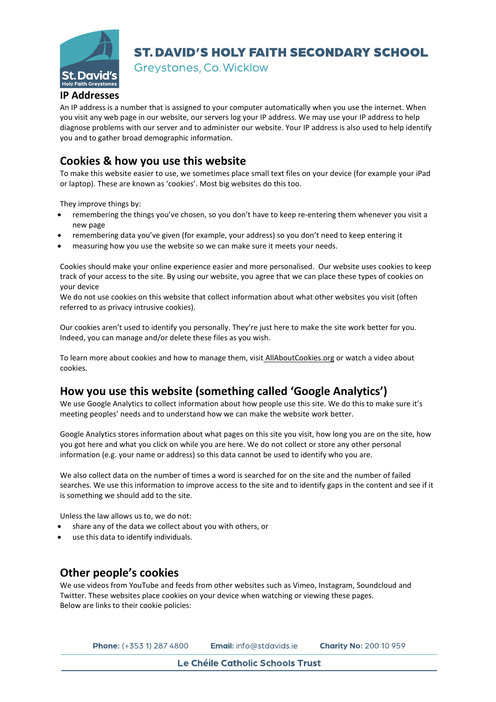

Greystones, Co. Wicklow

#### **IP Addresses**

An IP address is a number that is assigned to your computer automatically when you use the internet. When you visit any web page in our website, our servers log your IP address. We may use your IP address to help diagnose problems with our server and to administer our website. Your IP address is also used to help identify you and to gather broad demographic information.

### **Cookies & how you use this website**

To make this website easier to use, we sometimes place small text files on your device (for example your iPad or laptop). These are known as 'cookies'. Most big websites do this too.

They improve things by:

- remembering the things you've chosen, so you don't have to keep re-entering them whenever you visit a new page
- remembering data you've given (for example, your address) so you don't need to keep entering it
- measuring how you use the website so we can make sure it meets your needs.

Cookies should make your online experience easier and more personalised. Our website uses cookies to keep track of your access to the site. By using our website, you agree that we can place these types of cookies on your device

We do not use cookies on this website that collect information about what other websites you visit (often referred to as privacy intrusive cookies).

Our cookies aren't used to identify you personally. They're just here to make the site work better for you. Indeed, you can manage and/or delete these files as you wish.

To learn more about cookies and how to manage them, visit [AllAboutCookies.org](http://www.allaboutcookies.org/) or watch a video about cookies.

### **How you use this website (something called 'Google Analytics')**

We use Google Analytics to collect information about how people use this site. We do this to make sure it's meeting peoples' needs and to understand how we can make the website work better.

Google Analytics stores information about what pages on this site you visit, how long you are on the site, how you got here and what you click on while you are here. We do not collect or store any other personal information (e.g. your name or address) so this data cannot be used to identify who you are.

We also collect data on the number of times a word is searched for on the site and the number of failed searches. We use this information to improve access to the site and to identify gaps in the content and see if it is something we should add to the site.

Unless the law allows us to, we do not:

- share any of the data we collect about you with others, or
- use this data to identify individuals.

#### **Other people's cookies**

We use videos from YouTube and feeds from other websites such as Vimeo, Instagram, Soundcloud and Twitter. These websites place cookies on your device when watching or viewing these pages. Below are links to their cookie policies:

| <b>Phone:</b> $(+3531)$ 287 4800 | <b>Email:</b> info@stdavids.ie | <b>Charity No: 200 10 959</b> |
|----------------------------------|--------------------------------|-------------------------------|
|----------------------------------|--------------------------------|-------------------------------|

Le Chéile Catholic Schools Trust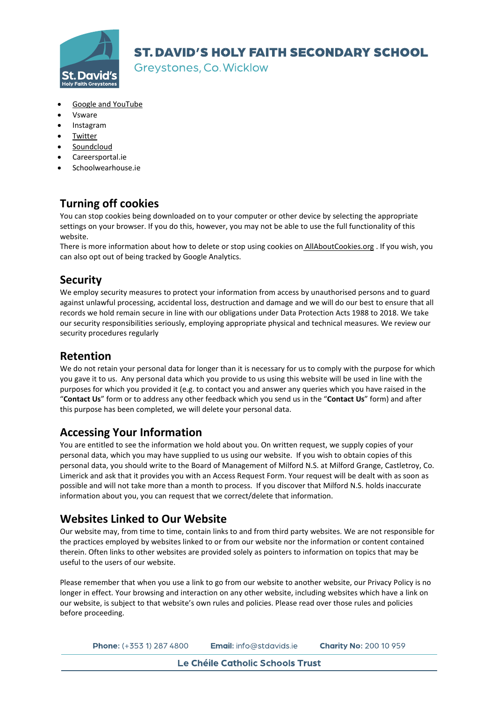

Greystones, Co. Wicklow

- Google and [YouTube](http://www.google.com/policies/technologies/cookies/)
- Vsware
- Instagram
- **[Twitter](https://twitter.com/privacy)**
- **[Soundcloud](https://soundcloud.com/pages/privacy)**
- Careersportal.ie
- Schoolwearhouse.ie

## **Turning off cookies**

You can stop cookies being downloaded on to your computer or other device by selecting the appropriate settings on your browser. If you do this, however, you may not be able to use the full functionality of this website.

There is more information about how to delete or stop using cookies on [AllAboutCookies.org](http://www.allaboutcookies.org/) . If you wish, you can also opt out of being tracked by Google Analytics.

### **Security**

We employ security measures to protect your information from access by unauthorised persons and to guard against unlawful processing, accidental loss, destruction and damage and we will do our best to ensure that all records we hold remain secure in line with our obligations under Data Protection Acts 1988 to 2018. We take our security responsibilities seriously, employing appropriate physical and technical measures. We review our security procedures regularly

### **Retention**

We do not retain your personal data for longer than it is necessary for us to comply with the purpose for which you gave it to us. Any personal data which you provide to us using this website will be used in line with the purposes for which you provided it (e.g. to contact you and answer any queries which you have raised in the "**Contact Us**" form or to address any other feedback which you send us in the "**Contact Us**" form) and after this purpose has been completed, we will delete your personal data.

### **Accessing Your Information**

You are entitled to see the information we hold about you. On written request, we supply copies of your personal data, which you may have supplied to us using our website. If you wish to obtain copies of this personal data, you should write to the Board of Management of Milford N.S. at Milford Grange, Castletroy, Co. Limerick and ask that it provides you with an Access Request Form. Your request will be dealt with as soon as possible and will not take more than a month to process. If you discover that Milford N.S. holds inaccurate information about you, you can request that we correct/delete that information.

### **Websites Linked to Our Website**

Our website may, from time to time, contain links to and from third party websites. We are not responsible for the practices employed by websites linked to or from our website nor the information or content contained therein. Often links to other websites are provided solely as pointers to information on topics that may be useful to the users of our website.

Please remember that when you use a link to go from our website to another website, our Privacy Policy is no longer in effect. Your browsing and interaction on any other website, including websites which have a link on our website, is subject to that website's own rules and policies. Please read over those rules and policies before proceeding.

Phone: (+353 1) 287 4800 Email: info@stdavids.je **Charity No: 200 10 959** 

Le Chéile Catholic Schools Trust